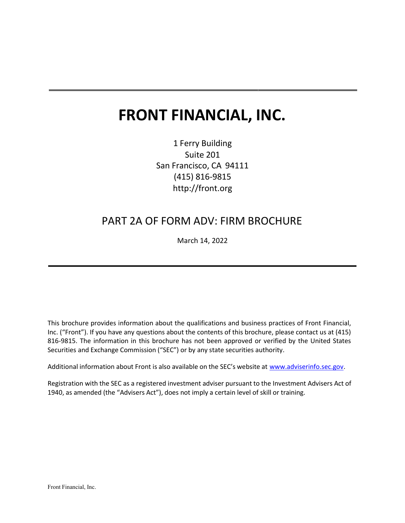# FRONT FINANCIAL, INC.

1 Ferry Building Suite 201 San Francisco, CA 94111 (415) 816-9815 http://front.org

# PART 2A OF FORM ADV: FIRM BROCHURE

March 14, 2022

This brochure provides information about the qualifications and business practices of Front Financial, Inc. ("Front"). If you have any questions about the contents of this brochure, please contact us at (415) 816-9815. The information in this brochure has not been approved or verified by the United States Securities and Exchange Commission ("SEC") or by any state securities authority.

Additional information about Front is also available on the SEC's website at www.adviserinfo.sec.gov.

Registration with the SEC as a registered investment adviser pursuant to the Investment Advisers Act of 1940, as amended (the "Advisers Act"), does not imply a certain level of skill or training.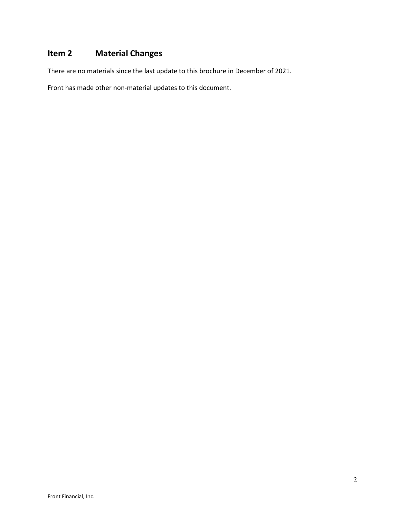# Item 2 Material Changes

There are no materials since the last update to this brochure in December of 2021.

Front has made other non-material updates to this document.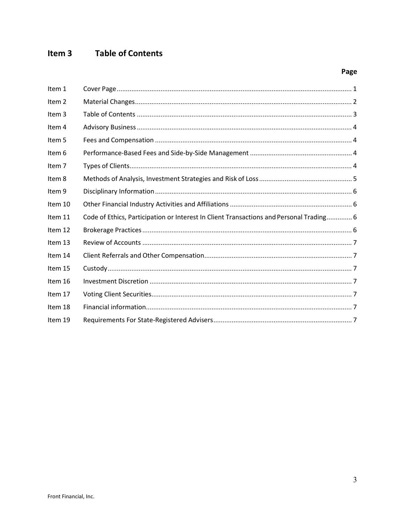#### Item 3 **Table of Contents**

# Page

| Item 1            |                                                                                         |
|-------------------|-----------------------------------------------------------------------------------------|
| Item 2            |                                                                                         |
| Item 3            |                                                                                         |
| Item 4            |                                                                                         |
| Item 5            |                                                                                         |
| Item 6            |                                                                                         |
| Item <sub>7</sub> |                                                                                         |
| Item 8            |                                                                                         |
| Item 9            |                                                                                         |
| Item 10           |                                                                                         |
| Item 11           | Code of Ethics, Participation or Interest In Client Transactions and Personal Trading 6 |
| Item 12           |                                                                                         |
| Item 13           |                                                                                         |
| Item 14           |                                                                                         |
| Item 15           |                                                                                         |
| Item 16           |                                                                                         |
| Item 17           |                                                                                         |
| Item 18           |                                                                                         |
| Item 19           |                                                                                         |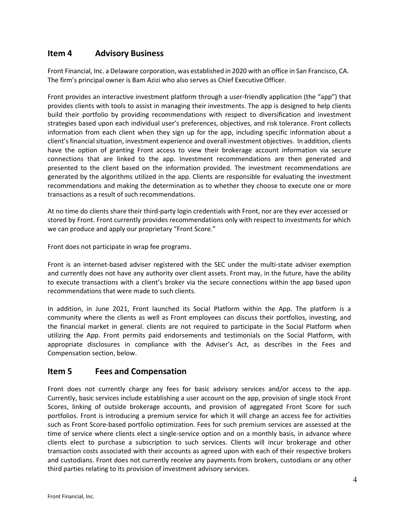# Item 4 Advisory Business

Front Financial, Inc. a Delaware corporation, was established in 2020 with an office in San Francisco, CA. The firm's principal owner is Bam Azizi who also serves as Chief Executive Officer.

Front provides an interactive investment platform through a user-friendly application (the "app") that provides clients with tools to assist in managing their investments. The app is designed to help clients build their portfolio by providing recommendations with respect to diversification and investment strategies based upon each individual user's preferences, objectives, and risk tolerance. Front collects information from each client when they sign up for the app, including specific information about a client's financial situation, investment experience and overall investment objectives. In addition, clients have the option of granting Front access to view their brokerage account information via secure connections that are linked to the app. Investment recommendations are then generated and presented to the client based on the information provided. The investment recommendations are generated by the algorithms utilized in the app. Clients are responsible for evaluating the investment recommendations and making the determination as to whether they choose to execute one or more transactions as a result of such recommendations.

At no time do clients share their third-party login credentials with Front, nor are they ever accessed or stored by Front. Front currently provides recommendations only with respect to investments for which we can produce and apply our proprietary "Front Score."

Front does not participate in wrap fee programs.

Front is an internet-based adviser registered with the SEC under the multi-state adviser exemption and currently does not have any authority over client assets. Front may, in the future, have the ability to execute transactions with a client's broker via the secure connections within the app based upon recommendations that were made to such clients.

In addition, in June 2021, Front launched its Social Platform within the App. The platform is a community where the clients as well as Front employees can discuss their portfolios, investing, and the financial market in general. clients are not required to participate in the Social Platform when utilizing the App. Front permits paid endorsements and testimonials on the Social Platform, with appropriate disclosures in compliance with the Adviser's Act, as describes in the Fees and Compensation section, below.

# Item 5 Fees and Compensation

Front does not currently charge any fees for basic advisory services and/or access to the app. Currently, basic services include establishing a user account on the app, provision of single stock Front Scores, linking of outside brokerage accounts, and provision of aggregated Front Score for such portfolios. Front is introducing a premium service for which it will charge an access fee for activities such as Front Score-based portfolio optimization. Fees for such premium services are assessed at the time of service where clients elect a single-service option and on a monthly basis, in advance where clients elect to purchase a subscription to such services. Clients will incur brokerage and other transaction costs associated with their accounts as agreed upon with each of their respective brokers and custodians. Front does not currently receive any payments from brokers, custodians or any other third parties relating to its provision of investment advisory services.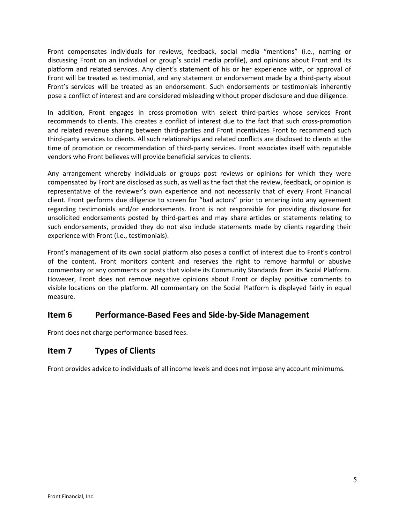Front compensates individuals for reviews, feedback, social media "mentions" (i.e., naming or discussing Front on an individual or group's social media profile), and opinions about Front and its platform and related services. Any client's statement of his or her experience with, or approval of Front will be treated as testimonial, and any statement or endorsement made by a third-party about Front's services will be treated as an endorsement. Such endorsements or testimonials inherently pose a conflict of interest and are considered misleading without proper disclosure and due diligence.

In addition, Front engages in cross-promotion with select third-parties whose services Front recommends to clients. This creates a conflict of interest due to the fact that such cross-promotion and related revenue sharing between third-parties and Front incentivizes Front to recommend such third-party services to clients. All such relationships and related conflicts are disclosed to clients at the time of promotion or recommendation of third-party services. Front associates itself with reputable vendors who Front believes will provide beneficial services to clients.

Any arrangement whereby individuals or groups post reviews or opinions for which they were compensated by Front are disclosed as such, as well as the fact that the review, feedback, or opinion is representative of the reviewer's own experience and not necessarily that of every Front Financial client. Front performs due diligence to screen for "bad actors" prior to entering into any agreement regarding testimonials and/or endorsements. Front is not responsible for providing disclosure for unsolicited endorsements posted by third-parties and may share articles or statements relating to such endorsements, provided they do not also include statements made by clients regarding their experience with Front (i.e., testimonials).

Front's management of its own social platform also poses a conflict of interest due to Front's control of the content. Front monitors content and reserves the right to remove harmful or abusive commentary or any comments or posts that violate its Community Standards from its Social Platform. However, Front does not remove negative opinions about Front or display positive comments to visible locations on the platform. All commentary on the Social Platform is displayed fairly in equal measure.

# Item 6 Performance-Based Fees and Side-by-Side Management

Front does not charge performance-based fees.

# Item 7 Types of Clients

Front provides advice to individuals of all income levels and does not impose any account minimums.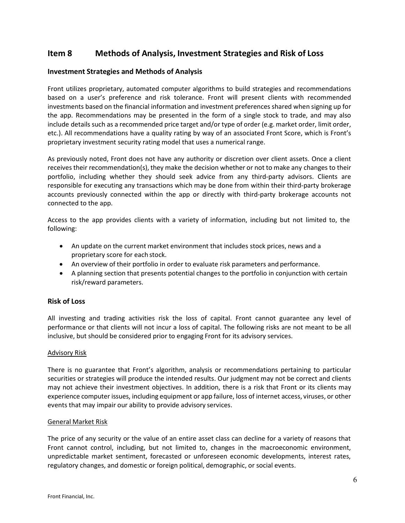# Item 8 Methods of Analysis, Investment Strategies and Risk of Loss

#### Investment Strategies and Methods of Analysis

Front utilizes proprietary, automated computer algorithms to build strategies and recommendations based on a user's preference and risk tolerance. Front will present clients with recommended investments based on the financial information and investment preferences shared when signing up for the app. Recommendations may be presented in the form of a single stock to trade, and may also include details such as a recommended price target and/or type of order (e.g. market order, limit order, etc.). All recommendations have a quality rating by way of an associated Front Score, which is Front's proprietary investment security rating model that uses a numerical range.

As previously noted, Front does not have any authority or discretion over client assets. Once a client receives their recommendation(s), they make the decision whether or not to make any changes to their portfolio, including whether they should seek advice from any third-party advisors. Clients are responsible for executing any transactions which may be done from within their third-party brokerage accounts previously connected within the app or directly with third-party brokerage accounts not connected to the app.

Access to the app provides clients with a variety of information, including but not limited to, the following:

- An update on the current market environment that includes stock prices, news and a proprietary score for each stock.
- An overview of their portfolio in order to evaluate risk parameters and performance.
- A planning section that presents potential changes to the portfolio in conjunction with certain risk/reward parameters.

#### Risk of Loss

All investing and trading activities risk the loss of capital. Front cannot guarantee any level of performance or that clients will not incur a loss of capital. The following risks are not meant to be all inclusive, but should be considered prior to engaging Front for its advisory services.

#### Advisory Risk

There is no guarantee that Front's algorithm, analysis or recommendations pertaining to particular securities or strategies will produce the intended results. Our judgment may not be correct and clients may not achieve their investment objectives. In addition, there is a risk that Front or its clients may experience computer issues, including equipment or app failure, loss of internet access, viruses, or other events that may impair our ability to provide advisory services.

#### General Market Risk

The price of any security or the value of an entire asset class can decline for a variety of reasons that Front cannot control, including, but not limited to, changes in the macroeconomic environment, unpredictable market sentiment, forecasted or unforeseen economic developments, interest rates, regulatory changes, and domestic or foreign political, demographic, or social events.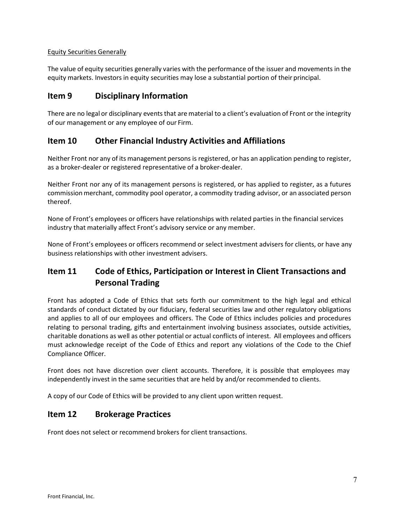### Equity Securities Generally

The value of equity securities generally varies with the performance of the issuer and movements in the equity markets. Investors in equity securities may lose a substantial portion of their principal.

# Item 9 Disciplinary Information

There are no legal or disciplinary events that are material to a client's evaluation of Front or the integrity of our management or any employee of our Firm.

# Item 10 Other Financial Industry Activities and Affiliations

Neither Front nor any of its management persons is registered, or has an application pending to register, as a broker-dealer or registered representative of a broker-dealer.

Neither Front nor any of its management persons is registered, or has applied to register, as a futures commission merchant, commodity pool operator, a commodity trading advisor, or an associated person thereof.

None of Front's employees or officers have relationships with related parties in the financial services industry that materially affect Front's advisory service or any member.

None of Front's employees or officers recommend or select investment advisers for clients, or have any business relationships with other investment advisers.

# Item 11 Code of Ethics, Participation or Interest in Client Transactions and Personal Trading

Front has adopted a Code of Ethics that sets forth our commitment to the high legal and ethical standards of conduct dictated by our fiduciary, federal securities law and other regulatory obligations and applies to all of our employees and officers. The Code of Ethics includes policies and procedures relating to personal trading, gifts and entertainment involving business associates, outside activities, charitable donations as well as other potential or actual conflicts of interest. All employees and officers must acknowledge receipt of the Code of Ethics and report any violations of the Code to the Chief Compliance Officer.

Front does not have discretion over client accounts. Therefore, it is possible that employees may independently invest in the same securities that are held by and/or recommended to clients.

A copy of our Code of Ethics will be provided to any client upon written request.

# Item 12 Brokerage Practices

Front does not select or recommend brokers for client transactions.